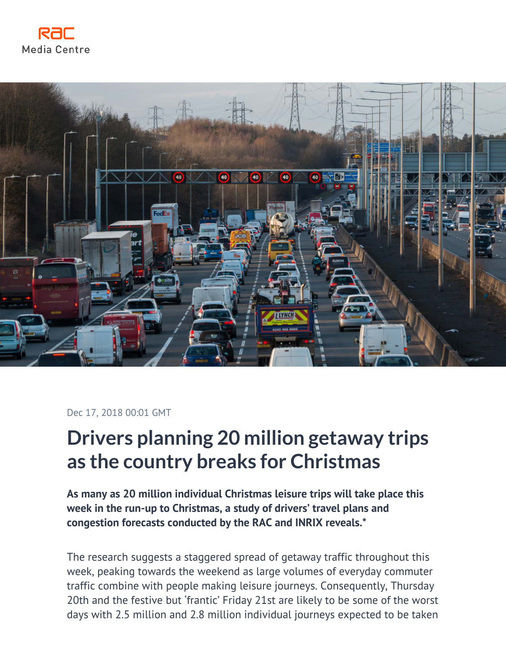



Dec 17, 2018 00:01 GMT

# **Drivers planning 20 million getaway trips as the country breaks for Christmas**

**As many as 20 million individual Christmas leisure trips will take place this week in the run-up to Christmas, a study of drivers' travel plans and congestion forecasts conducted by the RAC and INRIX reveals.\***

The research suggests a staggered spread of getaway traffic throughout this week, peaking towards the weekend as large volumes of everyday commuter traffic combine with people making leisure journeys. Consequently, Thursday 20th and the festive but 'frantic' Friday 21st are likely to be some of the worst days with 2.5 million and 2.8 million individual journeys expected to be taken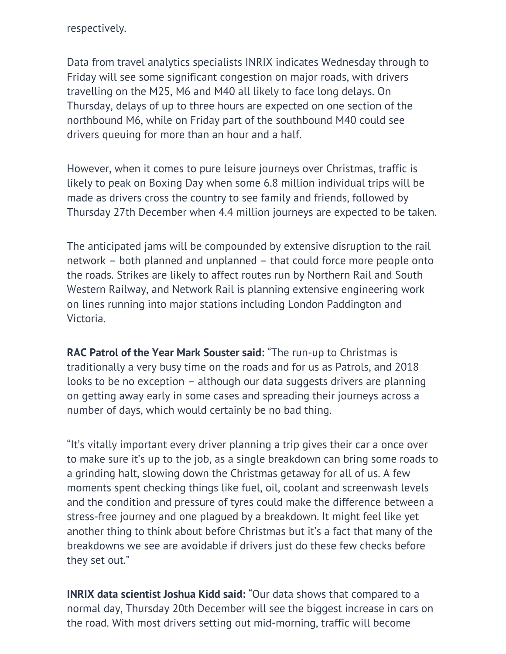respectively.

Data from travel analytics specialists INRIX indicates Wednesday through to Friday will see some significant congestion on major roads, with drivers travelling on the M25, M6 and M40 all likely to face long delays. On Thursday, delays of up to three hours are expected on one section of the northbound M6, while on Friday part of the southbound M40 could see drivers queuing for more than an hour and a half.

However, when it comes to pure leisure journeys over Christmas, traffic is likely to peak on Boxing Day when some 6.8 million individual trips will be made as drivers cross the country to see family and friends, followed by Thursday 27th December when 4.4 million journeys are expected to be taken.

The anticipated jams will be compounded by extensive disruption to the rail network – both planned and unplanned – that could force more people onto the roads. Strikes are likely to affect routes run by Northern Rail and South Western Railway, and Network Rail is planning extensive engineering work on lines running into major stations including London Paddington and Victoria.

**RAC Patrol of the Year Mark Souster said:** "The run-up to Christmas is traditionally a very busy time on the roads and for us as Patrols, and 2018 looks to be no exception – although our data suggests drivers are planning on getting away early in some cases and spreading their journeys across a number of days, which would certainly be no bad thing.

"It's vitally important every driver planning a trip gives their car a once over to make sure it's up to the job, as a single breakdown can bring some roads to a grinding halt, slowing down the Christmas getaway for all of us. A few moments spent checking things like fuel, oil, coolant and screenwash levels and the condition and pressure of tyres could make the difference between a stress-free journey and one plagued by a breakdown. It might feel like yet another thing to think about before Christmas but it's a fact that many of the breakdowns we see are avoidable if drivers just do these few checks before they set out."

**INRIX data scientist Joshua Kidd said:** "Our data shows that compared to a normal day, Thursday 20th December will see the biggest increase in cars on the road. With most drivers setting out mid-morning, traffic will become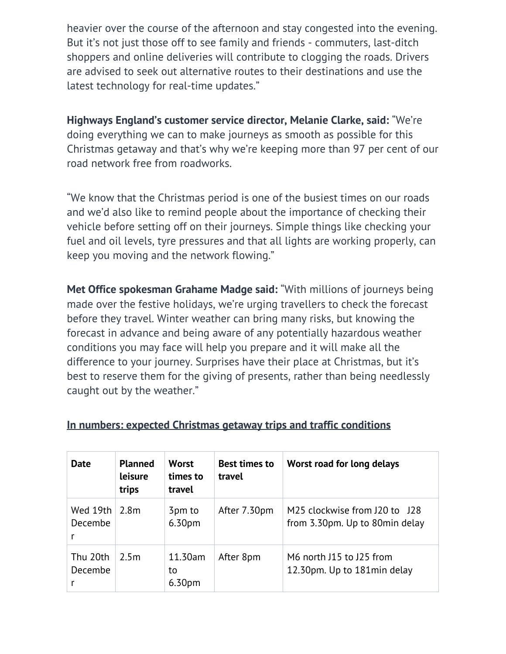heavier over the course of the afternoon and stay congested into the evening. But it's not just those off to see family and friends - commuters, last-ditch shoppers and online deliveries will contribute to clogging the roads. Drivers are advised to seek out alternative routes to their destinations and use the latest technology for real-time updates."

**Highways England's customer service director, Melanie Clarke, said:** "We're doing everything we can to make journeys as smooth as possible for this Christmas getaway and that's why we're keeping more than 97 per cent of our road network free from roadworks.

"We know that the Christmas period is one of the busiest times on our roads and we'd also like to remind people about the importance of checking their vehicle before setting off on their journeys. Simple things like checking your fuel and oil levels, tyre pressures and that all lights are working properly, can keep you moving and the network flowing."

**Met Office spokesman Grahame Madge said:** "With millions of journeys being made over the festive holidays, we're urging travellers to check the forecast before they travel. Winter weather can bring many risks, but knowing the forecast in advance and being aware of any potentially hazardous weather conditions you may face will help you prepare and it will make all the difference to your journey. Surprises have their place at Christmas, but it's best to reserve them for the giving of presents, rather than being needlessly caught out by the weather."

| <b>Date</b>              | <b>Planned</b><br>leisure<br>trips | <b>Worst</b><br>times to<br>travel  | <b>Best times to</b><br>travel | Worst road for long delays                                                                          |
|--------------------------|------------------------------------|-------------------------------------|--------------------------------|-----------------------------------------------------------------------------------------------------|
| Wed $19th$<br>Decembe    | 2.8m                               | 3pm to<br>6.30pm                    | After 7.30pm                   | M <sub>25</sub> clockwise from J <sub>20</sub> to J <sub>28</sub><br>from 3.30pm. Up to 80min delay |
| Thu 20th<br>Decembe<br>r | 2.5m                               | 11.30am<br>to<br>6.30 <sub>pm</sub> | After 8pm                      | M6 north J15 to J25 from<br>12.30pm. Up to 181min delay                                             |

#### **In numbers: expected Christmas getaway trips and traffic conditions**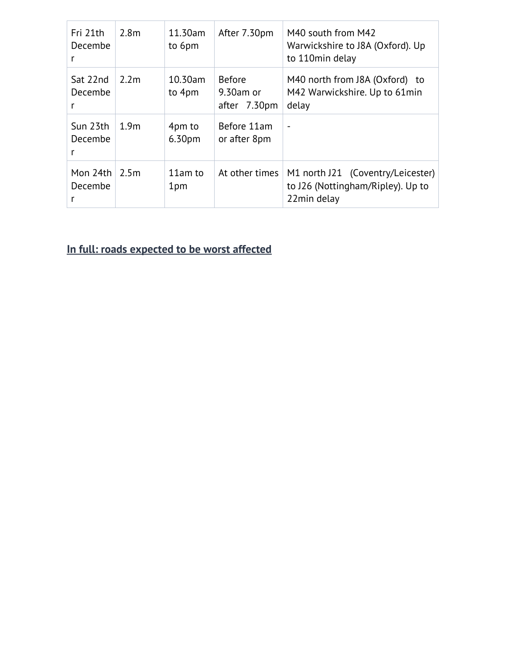| Fri 21th<br>Decembe | 2.8 <sub>m</sub> | 11.30am<br>to 6pm | After 7.30pm                                  | M40 south from M42<br>Warwickshire to J8A (Oxford). Up<br>to 110min delay             |
|---------------------|------------------|-------------------|-----------------------------------------------|---------------------------------------------------------------------------------------|
| Sat 22nd<br>Decembe | 2.2 <sub>m</sub> | 10.30am<br>to 4pm | <b>Before</b><br>$9.30$ am or<br>after 7.30pm | M40 north from J8A (Oxford) to<br>M42 Warwickshire. Up to 61min<br>delay              |
| Sun 23th<br>Decembe | 1.9 <sub>m</sub> | 4pm to<br>6.30pm  | Before 11am<br>or after 8pm                   | $\qquad \qquad$                                                                       |
| Mon 24th<br>Decembe | 2.5m             | 11am to<br>1pm    | At other times                                | M1 north J21 (Coventry/Leicester)<br>to J26 (Nottingham/Ripley). Up to<br>22min delay |

# **In full: roads expected to be worst affected**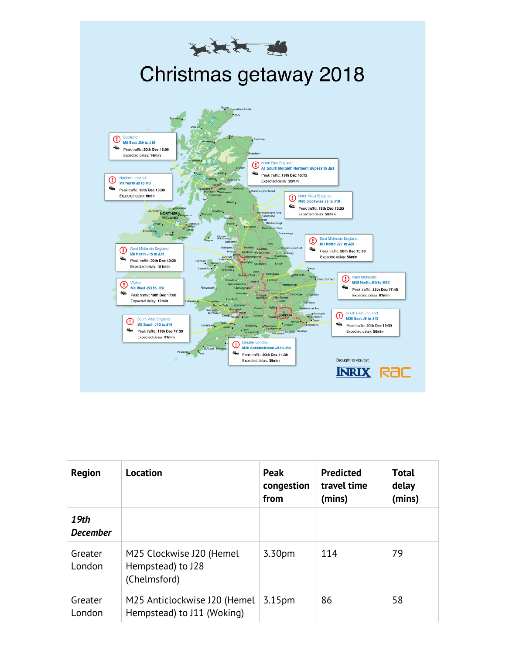

| <b>Region</b>           | Location                                                      | Peak<br>congestion<br>from | <b>Predicted</b><br>travel time<br>(mins) | <b>Total</b><br>delay<br>(mins) |
|-------------------------|---------------------------------------------------------------|----------------------------|-------------------------------------------|---------------------------------|
| 19th<br><b>December</b> |                                                               |                            |                                           |                                 |
| Greater<br>London       | M25 Clockwise J20 (Hemel<br>Hempstead) to J28<br>(Chelmsford) | 3.30pm                     | 114                                       | 79                              |
| Greater<br>London       | M25 Anticlockwise J20 (Hemel<br>Hempstead) to J11 (Woking)    | 3.15 <sub>pm</sub>         | 86                                        | 58                              |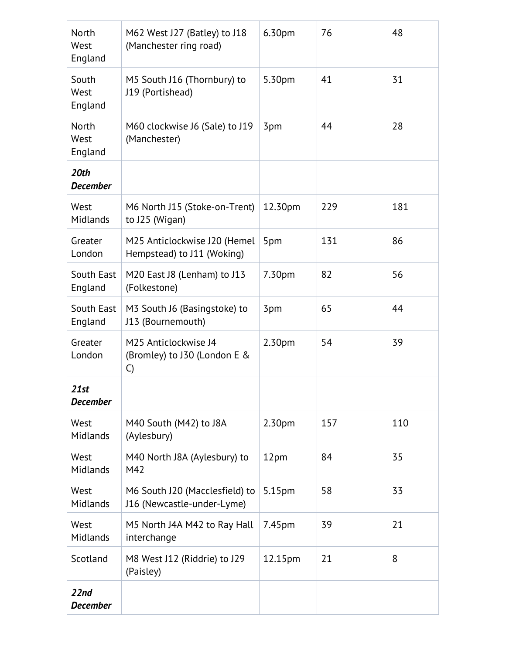| North<br>West<br>England        | M62 West J27 (Batley) to J18<br>(Manchester ring road)       | 6.30pm             | 76  | 48  |
|---------------------------------|--------------------------------------------------------------|--------------------|-----|-----|
| South<br>West<br>England        | M5 South J16 (Thornbury) to<br>J19 (Portishead)              | 5.30pm             | 41  | 31  |
| <b>North</b><br>West<br>England | M60 clockwise J6 (Sale) to J19<br>(Manchester)               | 3pm                | 44  | 28  |
| 20th<br><b>December</b>         |                                                              |                    |     |     |
| West<br>Midlands                | M6 North J15 (Stoke-on-Trent)<br>to J25 (Wigan)              | 12.30pm            | 229 | 181 |
| Greater<br>London               | M25 Anticlockwise J20 (Hemel<br>Hempstead) to J11 (Woking)   | 5pm                | 131 | 86  |
| South East<br>England           | M20 East J8 (Lenham) to J13<br>(Folkestone)                  | 7.30pm             | 82  | 56  |
| South East<br>England           | M3 South J6 (Basingstoke) to<br>J13 (Bournemouth)            | 3pm                | 65  | 44  |
| Greater<br>London               | M25 Anticlockwise J4<br>(Bromley) to J30 (London E &<br>C)   | 2.30 <sub>pm</sub> | 54  | 39  |
| 21st<br><b>December</b>         |                                                              |                    |     |     |
| West<br>Midlands                | M40 South (M42) to J8A<br>(Aylesbury)                        | 2.30pm             | 157 | 110 |
| West<br>Midlands                | M40 North J8A (Aylesbury) to<br>M42                          | 12pm               | 84  | 35  |
| West<br>Midlands                | M6 South J20 (Macclesfield) to<br>J16 (Newcastle-under-Lyme) | 5.15pm             | 58  | 33  |
| West<br>Midlands                | M5 North J4A M42 to Ray Hall<br>interchange                  | 7.45pm             | 39  | 21  |
| Scotland                        | M8 West J12 (Riddrie) to J29<br>(Paisley)                    | 12.15pm            | 21  | 8   |
| 22nd<br><b>December</b>         |                                                              |                    |     |     |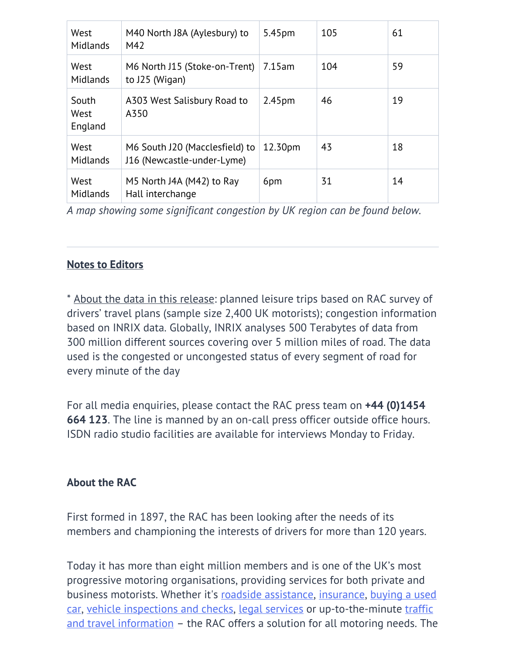| West<br>Midlands         | M40 North J8A (Aylesbury) to<br>M42                          | 5.45pm             | 105 | 61 |
|--------------------------|--------------------------------------------------------------|--------------------|-----|----|
| West<br>Midlands         | M6 North J15 (Stoke-on-Trent)<br>to J25 (Wigan)              | 7.15am             | 104 | 59 |
| South<br>West<br>England | A303 West Salisbury Road to<br>A350                          | 2.45 <sub>pm</sub> | 46  | 19 |
| West<br>Midlands         | M6 South J20 (Macclesfield) to<br>J16 (Newcastle-under-Lyme) | 12.30pm            | 43  | 18 |
| West<br><b>Midlands</b>  | M5 North J4A (M42) to Ray<br>Hall interchange                | 6pm                | 31  | 14 |

*A map showing some significant congestion by UK region can be found below.*

### **Notes to Editors**

\* About the data in this release: planned leisure trips based on RAC survey of drivers' travel plans (sample size 2,400 UK motorists); congestion information based on INRIX data. Globally, INRIX analyses 500 Terabytes of data from 300 million different sources covering over 5 million miles of road. The data used is the congested or uncongested status of every segment of road for every minute of the day

For all media enquiries, please contact the RAC press team on **+44 (0)1454 664 123**. The line is manned by an on-call press officer outside office hours. ISDN radio studio facilities are available for interviews Monday to Friday.

## **About the RAC**

First formed in 1897, the RAC has been looking after the needs of its members and championing the interests of drivers for more than 120 years.

Today it has more than eight million members and is one of the UK's most progressive motoring organisations, providing services for both private and business motorists. Whether it's [roadside assistance](https://www.rac.co.uk/breakdown-cover), [insurance,](https://www.rac.co.uk/insurance/car-insurance) [buying a used](https://www.rac.co.uk/buying-a-car) [car](https://www.rac.co.uk/buying-a-car), [vehicle inspections and checks](https://www.rac.co.uk/buying-a-car/vehicle-inspections), [legal services](https://www.rac.co.uk/insurance/accident-legal) or up-to-the-minute [traffic](https://www.rac.co.uk/route-planner/) [and travel information](https://www.rac.co.uk/route-planner/) – the RAC offers a solution for all motoring needs. The